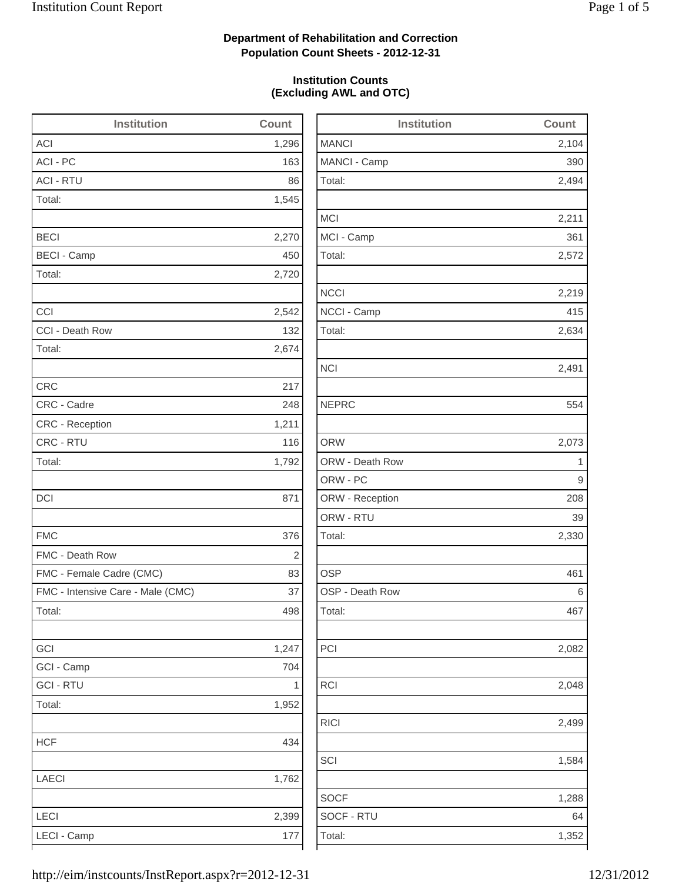2,494

2,211

2,572

2,219

2,082

2,499

1,584

1,288

## **Department of Rehabilitation and Correction Population Count Sheets - 2012-12-31**

## **Institution Counts (Excluding AWL and OTC)**

| <b>Institution</b>                | Count        | <b>Institution</b> | Count |
|-----------------------------------|--------------|--------------------|-------|
| <b>ACI</b>                        | 1,296        | <b>MANCI</b>       | 2,104 |
| ACI - PC                          | 163          | MANCI - Camp       | 390   |
| <b>ACI - RTU</b>                  | 86           | Total:             | 2,494 |
| Total:                            | 1,545        |                    |       |
|                                   |              | <b>MCI</b>         | 2,211 |
| <b>BECI</b>                       | 2,270        | MCI - Camp         | 361   |
| <b>BECI - Camp</b>                | 450          | Total:             | 2,572 |
| Total:                            | 2,720        |                    |       |
|                                   |              | <b>NCCI</b>        | 2,219 |
| CCI                               | 2,542        | NCCI - Camp        | 415   |
| CCI - Death Row                   | 132          | Total:             | 2,634 |
| Total:                            | 2,674        |                    |       |
|                                   |              | <b>NCI</b>         | 2,491 |
| <b>CRC</b>                        | 217          |                    |       |
| CRC - Cadre                       | 248          | <b>NEPRC</b>       | 554   |
| <b>CRC</b> - Reception            | 1,211        |                    |       |
| CRC - RTU                         | 116          | <b>ORW</b>         | 2,073 |
| Total:                            | 1,792        | ORW - Death Row    | 1     |
|                                   |              | ORW - PC           | 9     |
| <b>DCI</b>                        | 871          | ORW - Reception    | 208   |
|                                   |              | ORW - RTU          | 39    |
| <b>FMC</b>                        | 376          | Total:             | 2,330 |
| FMC - Death Row                   | 2            |                    |       |
| FMC - Female Cadre (CMC)          | 83           | <b>OSP</b>         | 461   |
| FMC - Intensive Care - Male (CMC) | 37           | OSP - Death Row    | 6     |
| Total:                            | 498          | Total:             | 467   |
| GCI                               | 1,247        | PCI                | 2,082 |
| GCI - Camp                        | 704          |                    |       |
| <b>GCI - RTU</b>                  | $\mathbf{1}$ | <b>RCI</b>         | 2,048 |
| Total:                            | 1,952        |                    |       |
|                                   |              | <b>RICI</b>        | 2,499 |
| <b>HCF</b>                        | 434          |                    |       |
|                                   |              | SCI                | 1,584 |
| LAECI                             | 1,762        |                    |       |
|                                   |              | <b>SOCF</b>        | 1,288 |
| LECI                              | 2,399        | SOCF - RTU         | 64    |
| LECI - Camp                       | 177          | Total:             | 1,352 |
|                                   |              |                    |       |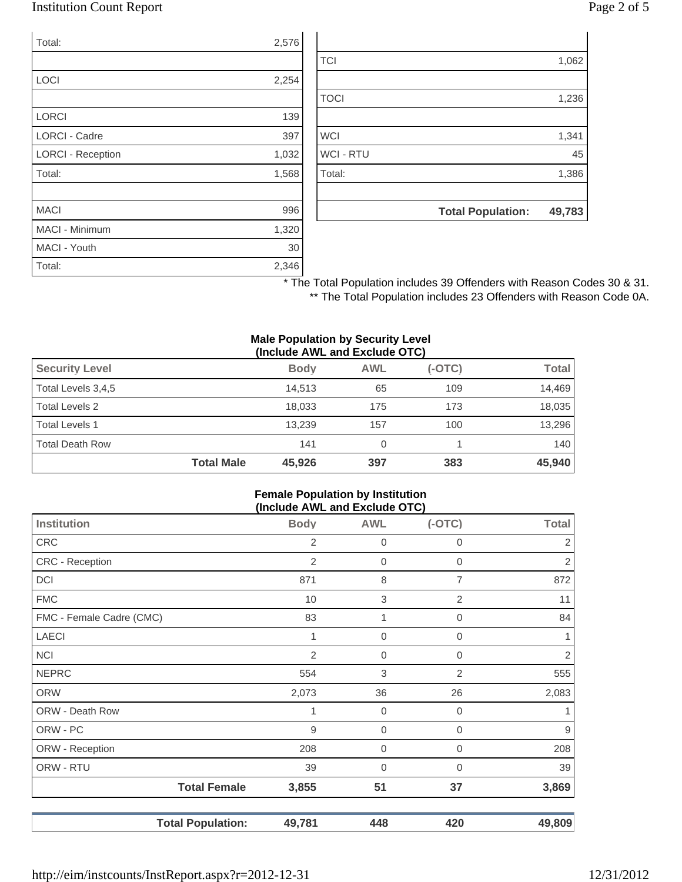## Institution Count Report Page 2 of 5

| Total:                   | 2,576 |
|--------------------------|-------|
|                          |       |
| LOCI                     | 2,254 |
|                          |       |
| <b>LORCI</b>             | 139   |
| <b>LORCI - Cadre</b>     | 397   |
| <b>LORCI - Reception</b> | 1,032 |
| Total:                   | 1,568 |
|                          |       |
| <b>MACI</b>              | 996   |
| <b>MACI - Minimum</b>    | 1,320 |
| MACI - Youth             | 30    |
| Total:                   | 2,346 |

| 1,386 |
|-------|
|       |
|       |
| 45    |
| 1,341 |
|       |
| 1,236 |
|       |
| 1,062 |
|       |

\* The Total Population includes 39 Offenders with Reason Codes 30 & 31. \*\* The Total Population includes 23 Offenders with Reason Code 0A.

#### **Male Population by Security Level (Include AWL and Exclude OTC)**

| <b>Security Level</b>  |                   | <b>Body</b> | <b>AWL</b> | $(-OTC)$ | Total  |  |
|------------------------|-------------------|-------------|------------|----------|--------|--|
| Total Levels 3,4,5     |                   | 14.513      | 65         | 109      | 14.469 |  |
| Total Levels 2         |                   | 18.033      | 175        | 173      | 18,035 |  |
| <b>Total Levels 1</b>  |                   | 13.239      | 157        | 100      | 13,296 |  |
| <b>Total Death Row</b> |                   | 141         | 0          |          | 140    |  |
|                        | <b>Total Male</b> | 45,926      | 397        | 383      | 45,940 |  |

#### **Female Population by Institution (Include AWL and Exclude OTC)**

| . <sub>,</sub>           |                |             |                |                  |
|--------------------------|----------------|-------------|----------------|------------------|
| <b>Institution</b>       | <b>Body</b>    | <b>AWL</b>  | $(-OTC)$       | <b>Total</b>     |
| <b>CRC</b>               | 2              | 0           | 0              | 2                |
| CRC - Reception          | $\overline{2}$ | 0           | $\mathbf 0$    | $\sqrt{2}$       |
| <b>DCI</b>               | 871            | 8           | 7              | 872              |
| <b>FMC</b>               | 10             | $\,$ 3 $\,$ | $\mathbf{2}$   | 11               |
| FMC - Female Cadre (CMC) | 83             | 1           | 0              | 84               |
| <b>LAECI</b>             |                | $\mathbf 0$ | 0              | 1.               |
| <b>NCI</b>               | $\mathbf{2}$   | $\mathbf 0$ | $\mathbf 0$    | $\overline{2}$   |
| <b>NEPRC</b>             | 554            | 3           | $\overline{2}$ | 555              |
| <b>ORW</b>               | 2,073          | 36          | 26             | 2,083            |
| ORW - Death Row          |                | $\mathbf 0$ | $\mathbf 0$    | 1                |
| ORW - PC                 | 9              | 0           | 0              | $\boldsymbol{9}$ |
| ORW - Reception          | 208            | 0           | 0              | 208              |
| ORW - RTU                | 39             | 0           | 0              | 39               |
| <b>Total Female</b>      | 3,855          | 51          | 37             | 3,869            |
| <b>Total Population:</b> | 49,781         | 448         | 420            | 49,809           |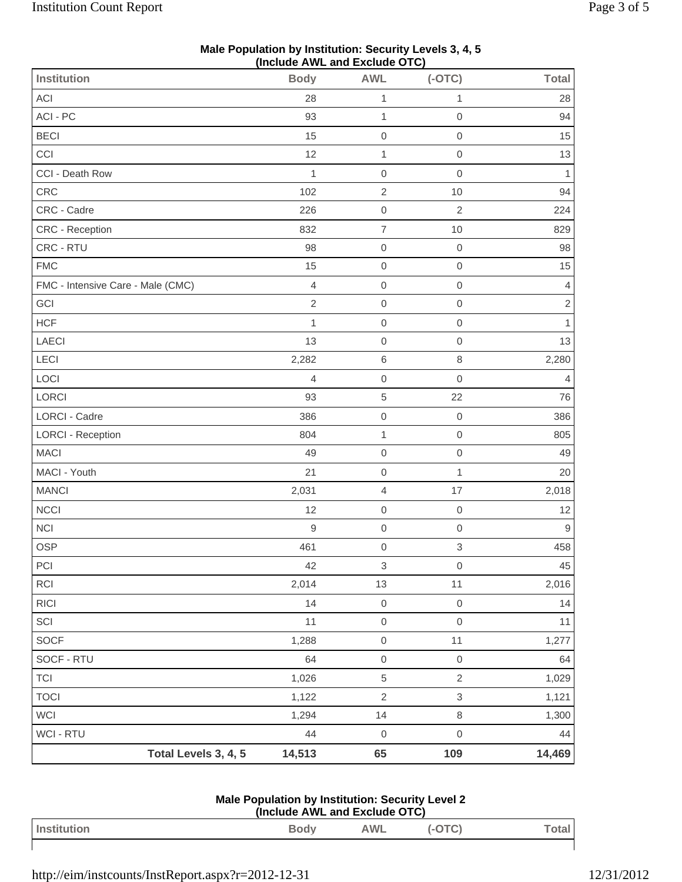| (Include AWL and Exclude OTC)     |                |                           |                           |                         |  |
|-----------------------------------|----------------|---------------------------|---------------------------|-------------------------|--|
| Institution                       | <b>Body</b>    | <b>AWL</b>                | $(-OTC)$                  | <b>Total</b>            |  |
| ACI                               | 28             | 1                         | 1                         | 28                      |  |
| ACI - PC                          | 93             | $\mathbf{1}$              | $\mbox{O}$                | 94                      |  |
| <b>BECI</b>                       | 15             | $\mathsf{O}\xspace$       | $\mathbf 0$               | 15                      |  |
| CCI                               | 12             | $\mathbf{1}$              | $\mathbf 0$               | 13                      |  |
| CCI - Death Row                   | 1              | $\mathbf 0$               | $\mathbf 0$               | 1                       |  |
| CRC                               | 102            | $\sqrt{2}$                | 10                        | 94                      |  |
| CRC - Cadre                       | 226            | $\mathsf{O}\xspace$       | $\overline{2}$            | 224                     |  |
| CRC - Reception                   | 832            | $\boldsymbol{7}$          | 10                        | 829                     |  |
| CRC - RTU                         | 98             | $\mathbf 0$               | $\mathbf 0$               | 98                      |  |
| <b>FMC</b>                        | 15             | $\mathbf 0$               | $\mathbf 0$               | 15                      |  |
| FMC - Intensive Care - Male (CMC) | $\overline{4}$ | $\mathbf 0$               | $\mathbf 0$               | $\overline{4}$          |  |
| GCI                               | $\overline{2}$ | $\mathbf 0$               | $\mbox{O}$                | $\overline{\mathbf{c}}$ |  |
| <b>HCF</b>                        | 1              | $\mathsf{O}\xspace$       | $\mathsf{O}\xspace$       | $\mathbf{1}$            |  |
| LAECI                             | 13             | $\mathbf 0$               | $\mathbf 0$               | 13                      |  |
| LECI                              | 2,282          | $\,6$                     | $\,8\,$                   | 2,280                   |  |
| LOCI                              | $\overline{4}$ | $\mathbf 0$               | $\mathbf 0$               | $\overline{4}$          |  |
| LORCI                             | 93             | $\,$ 5 $\,$               | 22                        | 76                      |  |
| <b>LORCI - Cadre</b>              | 386            | $\mathsf{O}\xspace$       | $\mbox{O}$                | 386                     |  |
| <b>LORCI - Reception</b>          | 804            | $\mathbf{1}$              | $\mathbf 0$               | 805                     |  |
| <b>MACI</b>                       | 49             | $\mathbf 0$               | $\mathbf 0$               | 49                      |  |
| MACI - Youth                      | 21             | $\mathbf 0$               | $\mathbf{1}$              | 20                      |  |
| <b>MANCI</b>                      | 2,031          | $\overline{4}$            | 17                        | 2,018                   |  |
| <b>NCCI</b>                       | 12             | $\mathsf{O}\xspace$       | $\mbox{O}$                | 12                      |  |
| NCI                               | $\mathsf 9$    | $\mathbf 0$               | $\mathbf 0$               | $\mathsf 9$             |  |
| <b>OSP</b>                        | 461            | $\mathbf 0$               | $\,$ 3 $\,$               | 458                     |  |
| PCI                               | 42             | $\ensuremath{\mathsf{3}}$ | $\mathbf 0$               | $45\,$                  |  |
| <b>RCI</b>                        | 2,014          | 13                        | 11                        | 2,016                   |  |
| <b>RICI</b>                       | 14             | $\mathsf{O}\xspace$       | $\mbox{O}$                | 14                      |  |
| SCI                               | 11             | $\mbox{O}$                | $\mathbf 0$               | 11                      |  |
| <b>SOCF</b>                       | 1,288          | $\mathsf{O}\xspace$       | 11                        | 1,277                   |  |
| SOCF - RTU                        | 64             | $\,0\,$                   | $\mbox{O}$                | 64                      |  |
| <b>TCI</b>                        | 1,026          | $\,$ 5 $\,$               | $\sqrt{2}$                | 1,029                   |  |
| <b>TOCI</b>                       | 1,122          | $\sqrt{2}$                | $\ensuremath{\mathsf{3}}$ | 1,121                   |  |
| WCI                               | 1,294          | 14                        | $\,8\,$                   | 1,300                   |  |
| WCI - RTU                         | 44             | $\mathbf 0$               | $\mathbf 0$               | 44                      |  |
| Total Levels 3, 4, 5              | 14,513         | 65                        | 109                       | 14,469                  |  |

### **Male Population by Institution: Security Levels 3, 4, 5 (Include AWL and Exclude OTC)**

| Male Population by Institution: Security Level 2 |
|--------------------------------------------------|
| (Include AWL and Exclude OTC)                    |

| Institution | <b>Body</b> | AWL | $\ddotsc$<br> | lai |
|-------------|-------------|-----|---------------|-----|
|             |             |     |               |     |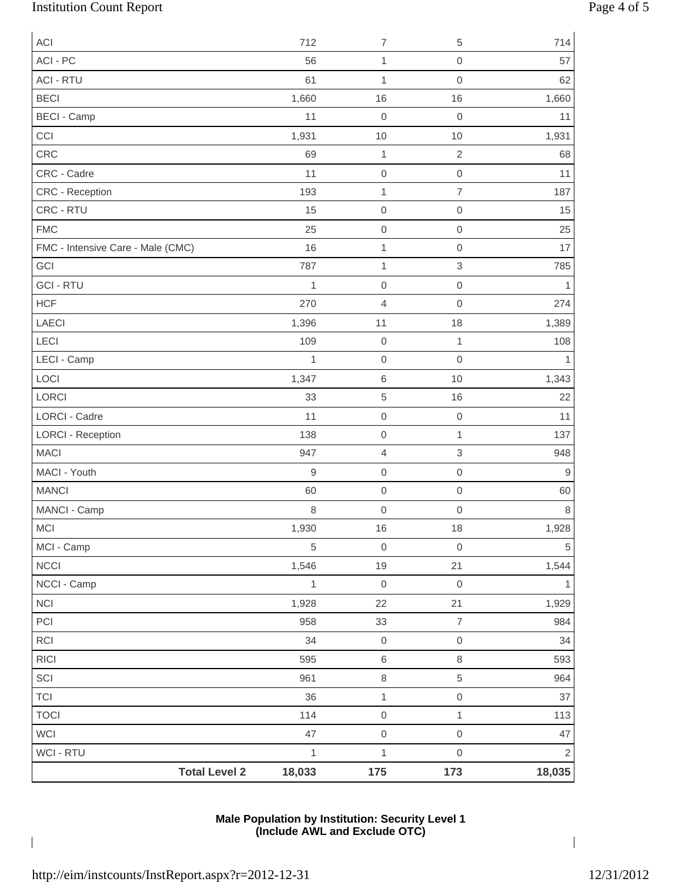# Institution Count Report Page 4 of 5

| <b>ACI</b>                           | 712          | $\overline{7}$      | 5                         | 714            |
|--------------------------------------|--------------|---------------------|---------------------------|----------------|
| ACI - PC                             | 56           | 1                   | $\mathbf 0$               | 57             |
| <b>ACI - RTU</b>                     | 61           | 1                   | $\mathsf{O}\xspace$       | 62             |
| <b>BECI</b>                          | 1,660        | 16                  | 16                        | 1,660          |
| <b>BECI - Camp</b>                   | 11           | $\boldsymbol{0}$    | $\mathbf 0$               | 11             |
| CCI                                  | 1,931        | 10                  | 10                        | 1,931          |
| CRC                                  | 69           | 1                   | $\sqrt{2}$                | 68             |
| CRC - Cadre                          | 11           | $\boldsymbol{0}$    | $\mathsf{O}\xspace$       | 11             |
| CRC - Reception                      | 193          | 1                   | $\overline{7}$            | 187            |
| CRC - RTU                            | 15           | $\boldsymbol{0}$    | $\mathsf{O}\xspace$       | 15             |
| <b>FMC</b>                           | 25           | $\mbox{O}$          | $\mathsf{O}\xspace$       | 25             |
| FMC - Intensive Care - Male (CMC)    | 16           | 1                   | $\mathbf 0$               | 17             |
| GCI                                  | 787          | 1                   | $\,$ 3 $\,$               | 785            |
| <b>GCI - RTU</b>                     | $\mathbf{1}$ | $\boldsymbol{0}$    | $\mathbf 0$               | 1              |
| <b>HCF</b>                           | 270          | $\overline{4}$      | 0                         | 274            |
| LAECI                                | 1,396        | 11                  | 18                        | 1,389          |
| LECI                                 | 109          | $\mbox{O}$          | $\mathbf{1}$              | 108            |
| LECI - Camp                          | 1            | $\mbox{O}$          | $\mathsf{O}\xspace$       |                |
| LOCI                                 | 1,347        | $\,6\,$             | 10                        | 1,343          |
| LORCI                                | 33           | $\sqrt{5}$          | 16                        | 22             |
| <b>LORCI - Cadre</b>                 | 11           | $\mathbf 0$         | $\mbox{O}$                | 11             |
| <b>LORCI - Reception</b>             | 138          | $\boldsymbol{0}$    | $\mathbf{1}$              | 137            |
| <b>MACI</b>                          | 947          | $\sqrt{4}$          | $\ensuremath{\mathsf{3}}$ | 948            |
| MACI - Youth                         | 9            | $\boldsymbol{0}$    | $\mathbf 0$               | 9              |
| <b>MANCI</b>                         | 60           | $\mbox{O}$          | $\mbox{O}$                | 60             |
| MANCI - Camp                         | 8            | $\mathbf 0$         | $\mbox{O}$                | 8              |
| <b>MCI</b>                           | 1,930        | 16                  | 18                        | 1,928          |
| MCI - Camp                           | 5            | $\mathbf 0$         | $\mathbf 0$               | 5              |
| <b>NCCI</b>                          | 1,546        | 19                  | 21                        | 1,544          |
| NCCI - Camp                          | $\mathbf{1}$ | $\boldsymbol{0}$    | $\mathbf 0$               |                |
| NCI                                  | 1,928        | 22                  | 21                        | 1,929          |
| PCI                                  | 958          | 33                  | $\boldsymbol{7}$          | 984            |
| RCI                                  | 34           | $\,0\,$             | $\mathbf 0$               | 34             |
| $\ensuremath{\mathsf{R}\mathsf{IC}}$ | 595          | $\,6\,$             | $\,8\,$                   | 593            |
| SCI                                  | 961          | $\,8\,$             | 5                         | 964            |
| <b>TCI</b>                           | 36           | $\mathbf{1}$        | $\mathsf{O}\xspace$       | 37             |
| <b>TOCI</b>                          | 114          | $\mathsf{O}\xspace$ | $\mathbf{1}$              | 113            |
| WCI                                  | 47           | $\mathbf 0$         | $\mathsf{O}\xspace$       | 47             |
| WCI - RTU                            | $\mathbf{1}$ | $\mathbf 1$         | $\mathbf 0$               | $\overline{2}$ |
| <b>Total Level 2</b>                 | 18,033       | 175                 | 173                       | 18,035         |

## **Male Population by Institution: Security Level 1 (Include AWL and Exclude OTC)**

 $\overline{\phantom{a}}$